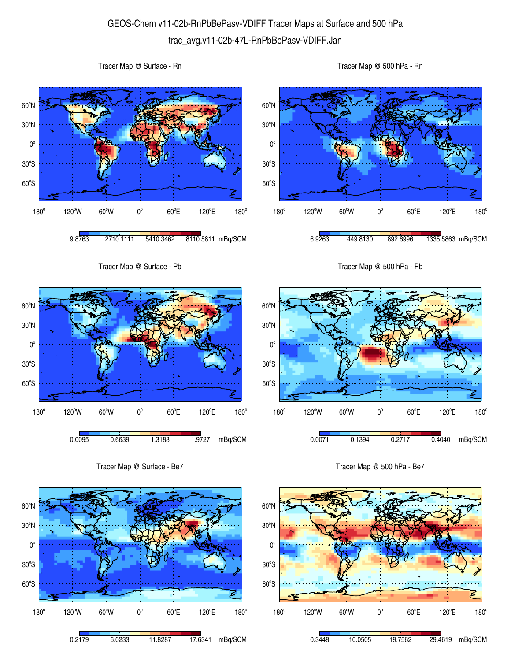## GEOS-Chem v11-02b-RnPbBePasv-VDIFF Tracer Maps at Surface and 500 hPa trac\_avg.v11-02b-47L-RnPbBePasv-VDIFF.Jan

 $60^{\circ}$ S  $30^{\circ}$ S  $0^{\circ}$ 30<sup>°</sup>N 60<sup>°</sup>N 180°  $120^{\circ}$ W 60 $^{\circ}$ W 0 $^{\circ}$  $60^{\circ}$ E 120°E  $180^\circ$ 9.8763 2710.1111 5410.3462 8110.5811 mBq/SCM  $60^{\circ}$ S  $30^{\circ}$ S  $0^{\circ}$ 30<sup>°</sup>N 60<sup>°</sup>N  $180^\circ$ 120°W 60°W 0°  $60^{\circ}$ E 120°E 6.9263 449.8130 892.6996 1335.5863 mBq/SCM Tracer Map @ Surface - Pb 60°S  $30^{\circ}$ S  $0^{\circ}$ 30<sup>°</sup>N 60<sup>°</sup>N Tracer Map @ 500 hPa - Pb 60°S  $30^{\circ}$ S  $0^{\circ}$ 30<sup>°</sup>N 60<sup>°</sup>N

0.0095 0.6639 1.3183 1.9727 mBq/SCM

 $60^{\circ}$ E

120°E

 $180^\circ$ 

180°

Tracer Map @ Surface - Be7

 $120^{\circ}$ W 60 $^{\circ}$ W 0 $^{\circ}$ 

180°

Tracer Map @ Surface - Rn



Tracer Map @ 500 hPa - Be7

 $60^{\circ}$ E

0.0071 0.1394 0.2717 0.4040 mBq/SCM

120°E

 $180^\circ$ 

 $120^{\circ}$ W 60 $^{\circ}$ W 0 $^{\circ}$ 

Tracer Map @ 500 hPa - Rn

 $180^\circ$